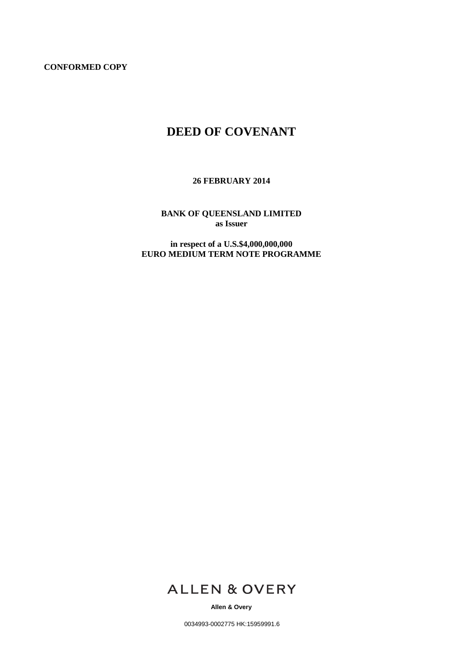**CONFORMED COPY**

## **DEED OF COVENANT**

**26 FEBRUARY 2014**

**BANK OF QUEENSLAND LIMITED as Issuer**

**in respect of a U.S.\$4,000,000,000 EURO MEDIUM TERM NOTE PROGRAMME**



**Allen & Overy**

0034993-0002775 HK:15959991.6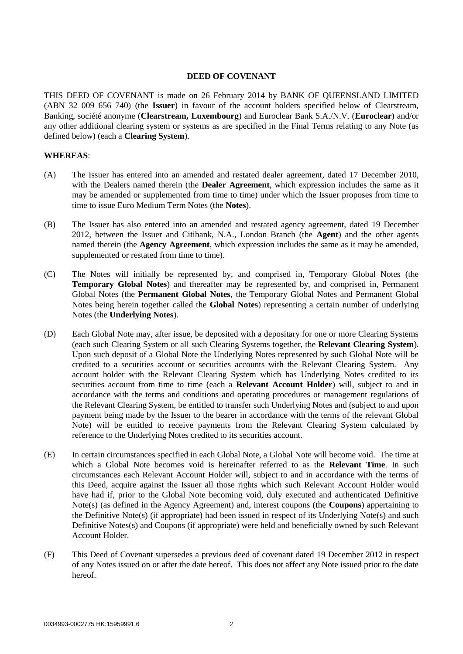## **DEED OF COVENANT**

THIS DEED OF COVENANT is made on 26 February 2014 by BANK OF QUEENSLAND LIMITED (ABN 32 009 656 740) (the **Issuer**) in favour of the account holders specified below of Clearstream, Banking, société anonyme (**Clearstream, Luxembourg**) and Euroclear Bank S.A./N.V. (**Euroclear**) and/or any other additional clearing system or systems as are specified in the Final Terms relating to any Note (as defined below) (each a **Clearing System**).

## **WHEREAS**:

- (A) The Issuer has entered into an amended and restated dealer agreement, dated 17 December 2010, with the Dealers named therein (the **Dealer Agreement**, which expression includes the same as it may be amended or supplemented from time to time) under which the Issuer proposes from time to time to issue Euro Medium Term Notes (the **Notes**).
- (B) The Issuer has also entered into an amended and restated agency agreement, dated 19 December 2012, between the Issuer and Citibank, N.A., London Branch (the **Agent**) and the other agents named therein (the **Agency Agreement**, which expression includes the same as it may be amended, supplemented or restated from time to time).
- (C) The Notes will initially be represented by, and comprised in, Temporary Global Notes (the **Temporary Global Notes**) and thereafter may be represented by, and comprised in, Permanent Global Notes (the **Permanent Global Notes**, the Temporary Global Notes and Permanent Global Notes being herein together called the **Global Notes**) representing a certain number of underlying Notes (the **Underlying Notes**).
- (D) Each Global Note may, after issue, be deposited with a depositary for one or more Clearing Systems (each such Clearing System or all such Clearing Systems together, the **Relevant Clearing System**). Upon such deposit of a Global Note the Underlying Notes represented by such Global Note will be credited to a securities account or securities accounts with the Relevant Clearing System. Any account holder with the Relevant Clearing System which has Underlying Notes credited to its securities account from time to time (each a **Relevant Account Holder**) will, subject to and in accordance with the terms and conditions and operating procedures or management regulations of the Relevant Clearing System, be entitled to transfer such Underlying Notes and (subject to and upon payment being made by the Issuer to the bearer in accordance with the terms of the relevant Global Note) will be entitled to receive payments from the Relevant Clearing System calculated by reference to the Underlying Notes credited to its securities account.
- (E) In certain circumstances specified in each Global Note, a Global Note will become void. The time at which a Global Note becomes void is hereinafter referred to as the **Relevant Time**. In such circumstances each Relevant Account Holder will, subject to and in accordance with the terms of this Deed, acquire against the Issuer all those rights which such Relevant Account Holder would have had if, prior to the Global Note becoming void, duly executed and authenticated Definitive Note(s) (as defined in the Agency Agreement) and, interest coupons (the **Coupons**) appertaining to the Definitive Note(s) (if appropriate) had been issued in respect of its Underlying Note(s) and such Definitive Notes(s) and Coupons (if appropriate) were held and beneficially owned by such Relevant Account Holder.
- (F) This Deed of Covenant supersedes a previous deed of covenant dated 19 December 2012 in respect of any Notes issued on or after the date hereof. This does not affect any Note issued prior to the date hereof.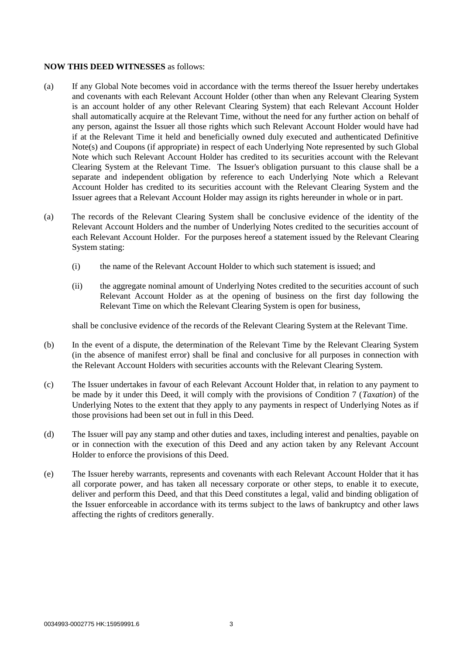## **NOW THIS DEED WITNESSES** as follows:

- (a) If any Global Note becomes void in accordance with the terms thereof the Issuer hereby undertakes and covenants with each Relevant Account Holder (other than when any Relevant Clearing System is an account holder of any other Relevant Clearing System) that each Relevant Account Holder shall automatically acquire at the Relevant Time, without the need for any further action on behalf of any person, against the Issuer all those rights which such Relevant Account Holder would have had if at the Relevant Time it held and beneficially owned duly executed and authenticated Definitive Note(s) and Coupons (if appropriate) in respect of each Underlying Note represented by such Global Note which such Relevant Account Holder has credited to its securities account with the Relevant Clearing System at the Relevant Time. The Issuer's obligation pursuant to this clause shall be a separate and independent obligation by reference to each Underlying Note which a Relevant Account Holder has credited to its securities account with the Relevant Clearing System and the Issuer agrees that a Relevant Account Holder may assign its rights hereunder in whole or in part.
- (a) The records of the Relevant Clearing System shall be conclusive evidence of the identity of the Relevant Account Holders and the number of Underlying Notes credited to the securities account of each Relevant Account Holder. For the purposes hereof a statement issued by the Relevant Clearing System stating:
	- (i) the name of the Relevant Account Holder to which such statement is issued; and
	- (ii) the aggregate nominal amount of Underlying Notes credited to the securities account of such Relevant Account Holder as at the opening of business on the first day following the Relevant Time on which the Relevant Clearing System is open for business,

shall be conclusive evidence of the records of the Relevant Clearing System at the Relevant Time.

- (b) In the event of a dispute, the determination of the Relevant Time by the Relevant Clearing System (in the absence of manifest error) shall be final and conclusive for all purposes in connection with the Relevant Account Holders with securities accounts with the Relevant Clearing System.
- (c) The Issuer undertakes in favour of each Relevant Account Holder that, in relation to any payment to be made by it under this Deed, it will comply with the provisions of Condition 7 (*Taxation*) of the Underlying Notes to the extent that they apply to any payments in respect of Underlying Notes as if those provisions had been set out in full in this Deed.
- (d) The Issuer will pay any stamp and other duties and taxes, including interest and penalties, payable on or in connection with the execution of this Deed and any action taken by any Relevant Account Holder to enforce the provisions of this Deed.
- (e) The Issuer hereby warrants, represents and covenants with each Relevant Account Holder that it has all corporate power, and has taken all necessary corporate or other steps, to enable it to execute, deliver and perform this Deed, and that this Deed constitutes a legal, valid and binding obligation of the Issuer enforceable in accordance with its terms subject to the laws of bankruptcy and other laws affecting the rights of creditors generally.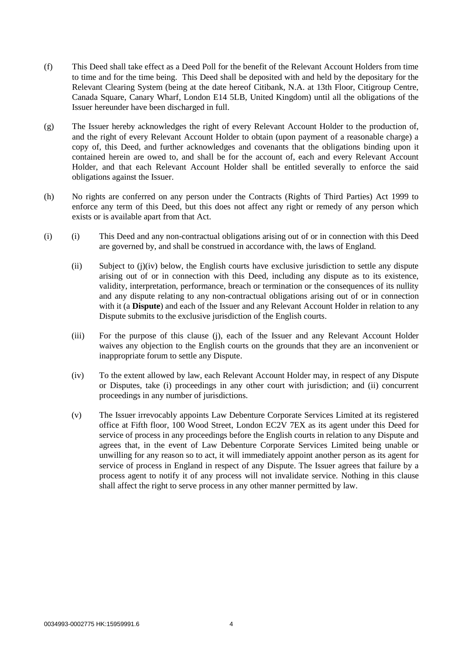- (f) This Deed shall take effect as a Deed Poll for the benefit of the Relevant Account Holders from time to time and for the time being. This Deed shall be deposited with and held by the depositary for the Relevant Clearing System (being at the date hereof Citibank, N.A. at 13th Floor, Citigroup Centre, Canada Square, Canary Wharf, London E14 5LB, United Kingdom) until all the obligations of the Issuer hereunder have been discharged in full.
- (g) The Issuer hereby acknowledges the right of every Relevant Account Holder to the production of, and the right of every Relevant Account Holder to obtain (upon payment of a reasonable charge) a copy of, this Deed, and further acknowledges and covenants that the obligations binding upon it contained herein are owed to, and shall be for the account of, each and every Relevant Account Holder, and that each Relevant Account Holder shall be entitled severally to enforce the said obligations against the Issuer.
- (h) No rights are conferred on any person under the Contracts (Rights of Third Parties) Act 1999 to enforce any term of this Deed, but this does not affect any right or remedy of any person which exists or is available apart from that Act.
- (i) (i) This Deed and any non-contractual obligations arising out of or in connection with this Deed are governed by, and shall be construed in accordance with, the laws of England.
	- (ii) Subject to (j)(iv) below, the English courts have exclusive jurisdiction to settle any dispute arising out of or in connection with this Deed, including any dispute as to its existence, validity, interpretation, performance, breach or termination or the consequences of its nullity and any dispute relating to any non-contractual obligations arising out of or in connection with it (a **Dispute**) and each of the Issuer and any Relevant Account Holder in relation to any Dispute submits to the exclusive jurisdiction of the English courts.
	- (iii) For the purpose of this clause (j), each of the Issuer and any Relevant Account Holder waives any objection to the English courts on the grounds that they are an inconvenient or inappropriate forum to settle any Dispute.
	- (iv) To the extent allowed by law, each Relevant Account Holder may, in respect of any Dispute or Disputes, take (i) proceedings in any other court with jurisdiction; and (ii) concurrent proceedings in any number of jurisdictions.
	- (v) The Issuer irrevocably appoints Law Debenture Corporate Services Limited at its registered office at Fifth floor, 100 Wood Street, London EC2V 7EX as its agent under this Deed for service of process in any proceedings before the English courts in relation to any Dispute and agrees that, in the event of Law Debenture Corporate Services Limited being unable or unwilling for any reason so to act, it will immediately appoint another person as its agent for service of process in England in respect of any Dispute. The Issuer agrees that failure by a process agent to notify it of any process will not invalidate service. Nothing in this clause shall affect the right to serve process in any other manner permitted by law.